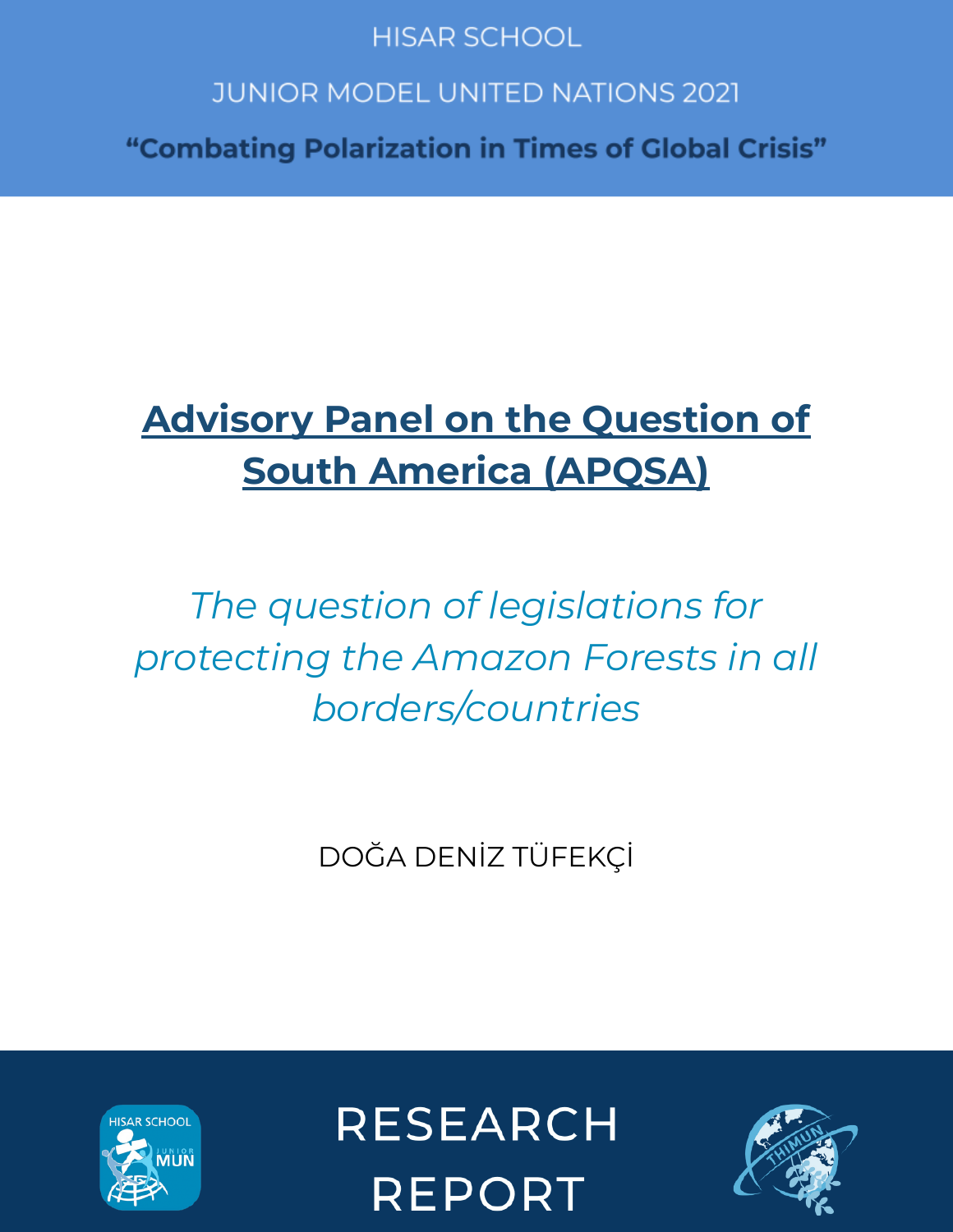# **HISAR SCHOOL**

# **JUNIOR MODEL UNITED NATIONS 2021**

"Combating Polarization in Times of Global Crisis"

# **Advisory Panel on the Question of South America (APQSA)**

*The question of legislations for protecting the Amazon Forests in all borders/countries*

DOĞA DENİZ TÜFEKÇİ



**RESEARCH REPORT** 

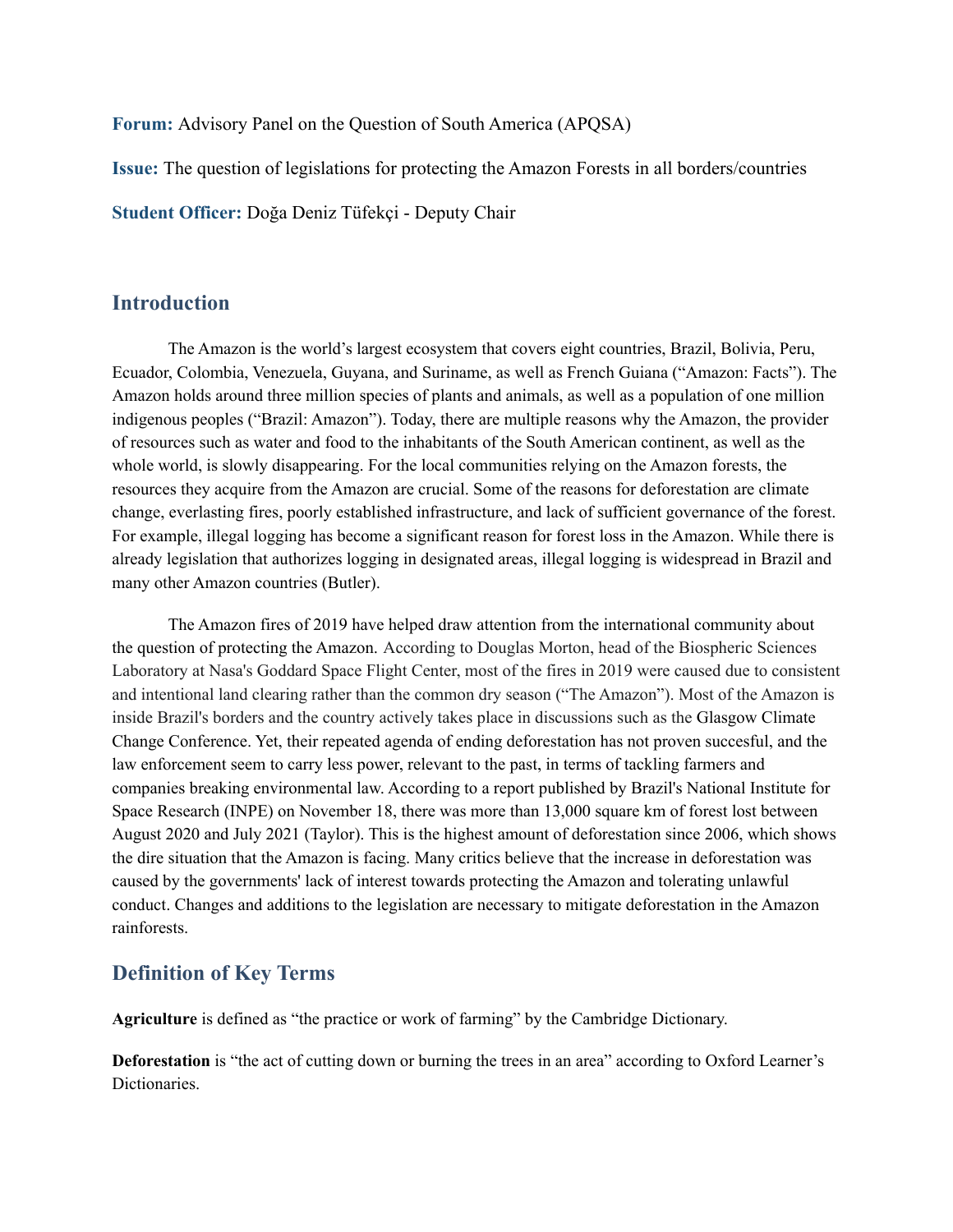**Forum:** Advisory Panel on the Question of South America (APQSA)

**Issue:** The question of legislations for protecting the Amazon Forests in all borders/countries

**Student Officer:** Doğa Deniz Tüfekçi - Deputy Chair

#### **Introduction**

The Amazon is the world's largest ecosystem that covers eight countries, Brazil, Bolivia, Peru, Ecuador, Colombia, Venezuela, Guyana, and Suriname, as well as French Guiana ("Amazon: Facts"). The Amazon holds around three million species of plants and animals, as well as a population of one million indigenous peoples ("Brazil: Amazon"). Today, there are multiple reasons why the Amazon, the provider of resources such as water and food to the inhabitants of the South American continent, as well as the whole world, is slowly disappearing. For the local communities relying on the Amazon forests, the resources they acquire from the Amazon are crucial. Some of the reasons for deforestation are climate change, everlasting fires, poorly established infrastructure, and lack of sufficient governance of the forest. For example, illegal logging has become a significant reason for forest loss in the Amazon. While there is already legislation that authorizes logging in designated areas, illegal logging is widespread in Brazil and many other Amazon countries (Butler).

The Amazon fires of 2019 have helped draw attention from the international community about the question of protecting the Amazon. According to Douglas Morton, head of the Biospheric Sciences Laboratory at Nasa's Goddard Space Flight Center, most of the fires in 2019 were caused due to consistent and intentional land clearing rather than the common dry season ("The Amazon"). Most of the Amazon is inside Brazil's borders and the country actively takes place in discussions such as the Glasgow Climate Change Conference. Yet, their repeated agenda of ending deforestation has not proven succesful, and the law enforcement seem to carry less power, relevant to the past, in terms of tackling farmers and companies breaking environmental law. According to a report published by Brazil's National Institute for Space Research (INPE) on November 18, there was more than 13,000 square km of forest lost between August 2020 and July 2021 (Taylor). This is the highest amount of deforestation since 2006, which shows the dire situation that the Amazon is facing. Many critics believe that the increase in deforestation was caused by the governments' lack of interest towards protecting the Amazon and tolerating unlawful conduct. Changes and additions to the legislation are necessary to mitigate deforestation in the Amazon rainforests.

# **Definition of Key Terms**

**Agriculture** is defined as "the practice or work of farming" by the Cambridge Dictionary.

**Deforestation** is "the act of cutting down or burning the trees in an area" according to Oxford Learner's Dictionaries.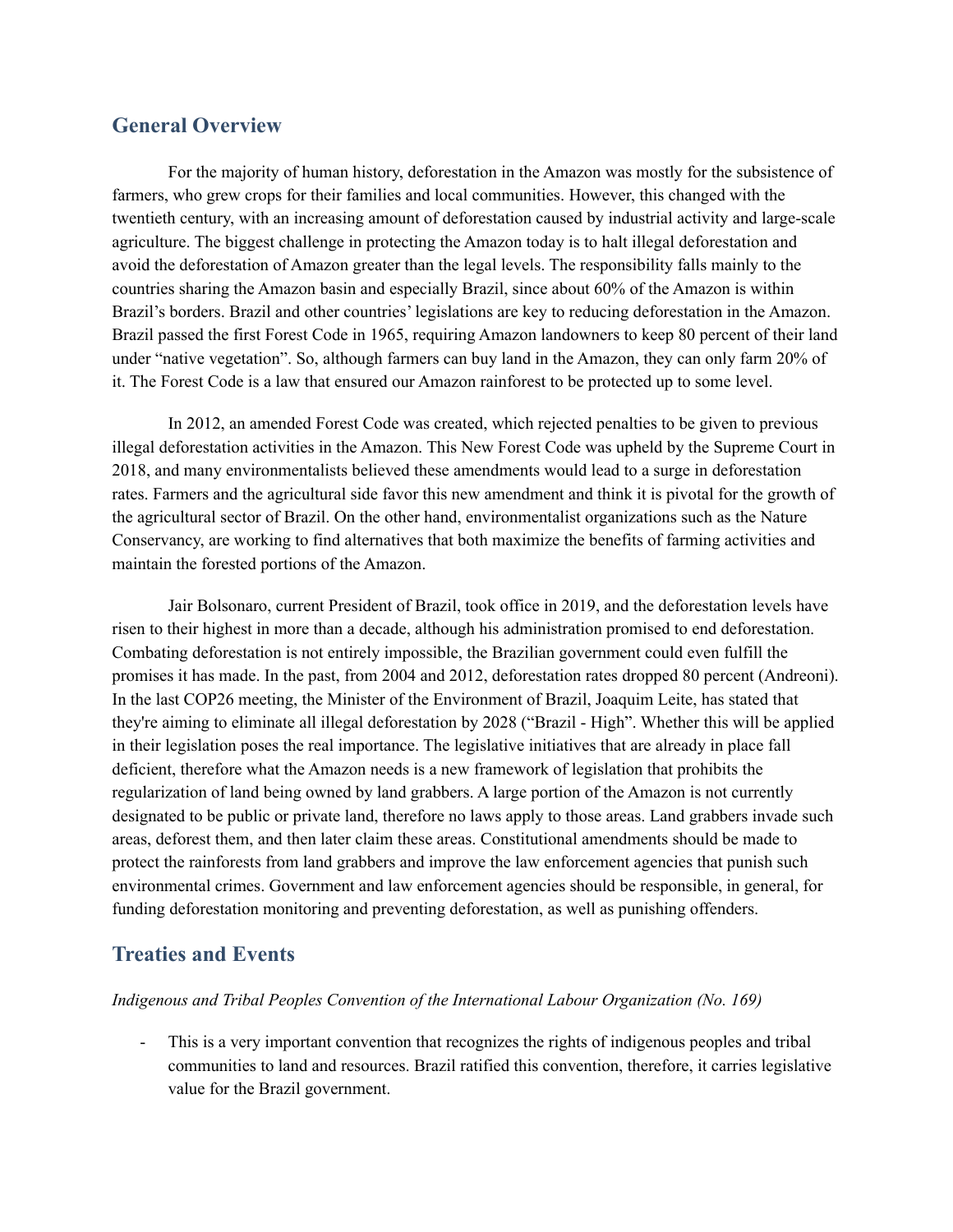## **General Overview**

For the majority of human history, deforestation in the Amazon was mostly for the subsistence of farmers, who grew crops for their families and local communities. However, this changed with the twentieth century, with an increasing amount of deforestation caused by industrial activity and large-scale agriculture. The biggest challenge in protecting the Amazon today is to halt illegal deforestation and avoid the deforestation of Amazon greater than the legal levels. The responsibility falls mainly to the countries sharing the Amazon basin and especially Brazil, since about 60% of the Amazon is within Brazil's borders. Brazil and other countries' legislations are key to reducing deforestation in the Amazon. Brazil passed the first Forest Code in 1965, requiring Amazon landowners to keep 80 percent of their land under "native vegetation". So, although farmers can buy land in the Amazon, they can only farm 20% of it. The Forest Code is a law that ensured our Amazon rainforest to be protected up to some level.

In 2012, an amended Forest Code was created, which rejected penalties to be given to previous illegal deforestation activities in the Amazon. This New Forest Code was upheld by the Supreme Court in 2018, and many environmentalists believed these amendments would lead to a surge in deforestation rates. Farmers and the agricultural side favor this new amendment and think it is pivotal for the growth of the agricultural sector of Brazil. On the other hand, environmentalist organizations such as the Nature Conservancy, are working to find alternatives that both maximize the benefits of farming activities and maintain the forested portions of the Amazon.

Jair Bolsonaro, current President of Brazil, took office in 2019, and the deforestation levels have risen to their highest in more than a decade, although his administration promised to end deforestation. Combating deforestation is not entirely impossible, the Brazilian government could even fulfill the promises it has made. In the past, from 2004 and 2012, deforestation rates dropped 80 percent (Andreoni). In the last COP26 meeting, the Minister of the Environment of Brazil, Joaquim Leite, has stated that they're aiming to eliminate all illegal deforestation by 2028 ("Brazil - High". Whether this will be applied in their legislation poses the real importance. The legislative initiatives that are already in place fall deficient, therefore what the Amazon needs is a new framework of legislation that prohibits the regularization of land being owned by land grabbers. A large portion of the Amazon is not currently designated to be public or private land, therefore no laws apply to those areas. Land grabbers invade such areas, deforest them, and then later claim these areas. Constitutional amendments should be made to protect the rainforests from land grabbers and improve the law enforcement agencies that punish such environmental crimes. Government and law enforcement agencies should be responsible, in general, for funding deforestation monitoring and preventing deforestation, as well as punishing offenders.

#### **Treaties and Events**

#### *Indigenous and Tribal Peoples Convention of the International Labour Organization (No. 169)*

- This is a very important convention that recognizes the rights of indigenous peoples and tribal communities to land and resources. Brazil ratified this convention, therefore, it carries legislative value for the Brazil government.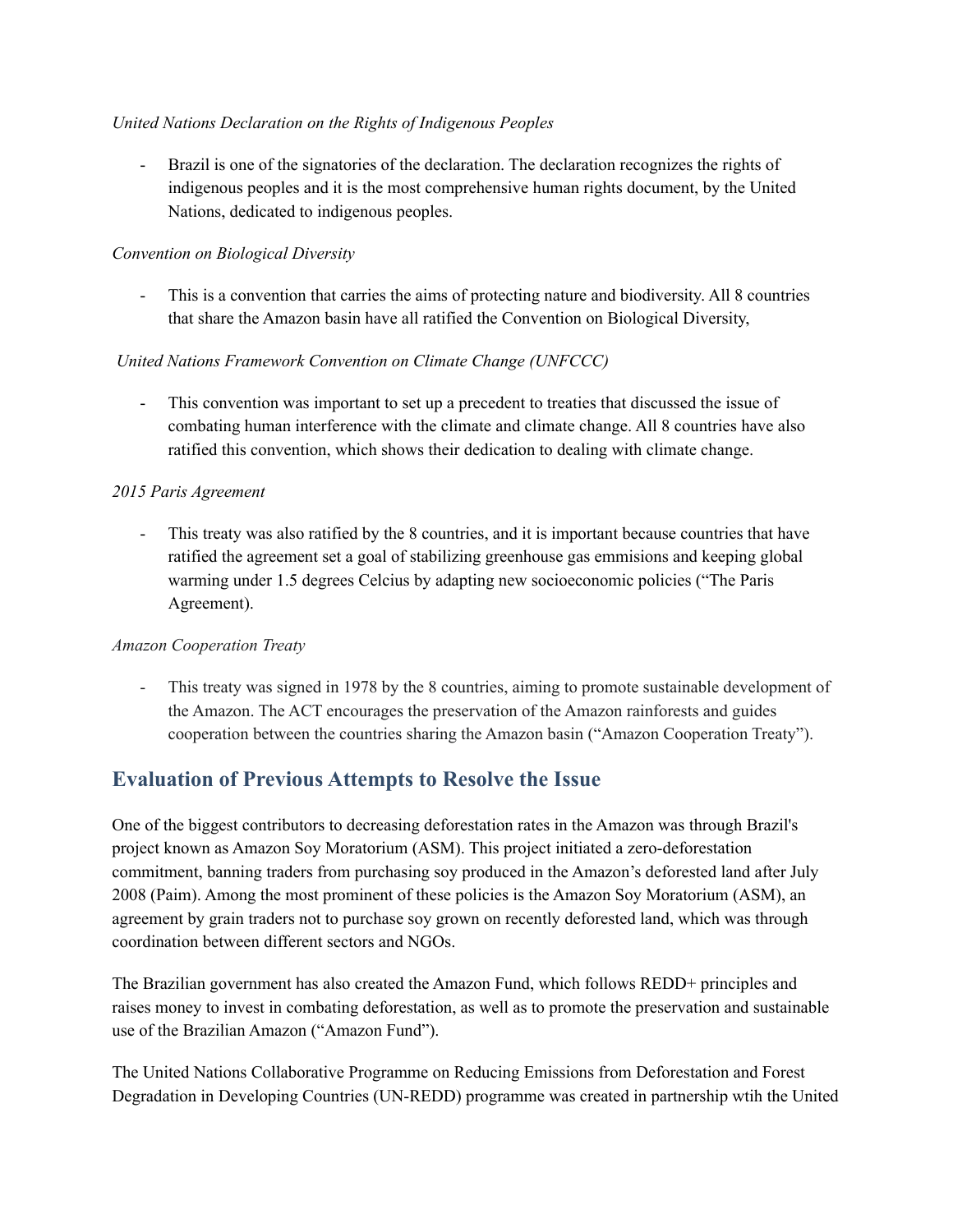#### *United Nations Declaration on the Rights of Indigenous Peoples*

- Brazil is one of the signatories of the declaration. The declaration recognizes the rights of indigenous peoples and it is the most comprehensive human rights document, by the United Nations, dedicated to indigenous peoples.

#### *Convention on Biological Diversity*

- This is a convention that carries the aims of protecting nature and biodiversity. All 8 countries that share the Amazon basin have all ratified the Convention on Biological Diversity,

#### *United Nations Framework Convention on Climate Change (UNFCCC)*

This convention was important to set up a precedent to treaties that discussed the issue of combating human interference with the climate and climate change. All 8 countries have also ratified this convention, which shows their dedication to dealing with climate change.

#### *2015 Paris Agreement*

- This treaty was also ratified by the 8 countries, and it is important because countries that have ratified the agreement set a goal of stabilizing greenhouse gas emmisions and keeping global warming under 1.5 degrees Celcius by adapting new socioeconomic policies ("The Paris Agreement).

#### *Amazon Cooperation Treaty*

This treaty was signed in 1978 by the 8 countries, aiming to promote sustainable development of the Amazon. The ACT encourages the preservation of the Amazon rainforests and guides cooperation between the countries sharing the Amazon basin ("Amazon Cooperation Treaty").

## **Evaluation of Previous Attempts to Resolve the Issue**

One of the biggest contributors to decreasing deforestation rates in the Amazon was through Brazil's project known as Amazon Soy Moratorium (ASM). This project initiated a zero-deforestation commitment, banning traders from purchasing soy produced in the Amazon's deforested land after July 2008 (Paim). Among the most prominent of these policies is the Amazon Soy Moratorium (ASM), an agreement by grain traders not to purchase soy grown on recently deforested land, which was through coordination between different sectors and NGOs.

The Brazilian government has also created the Amazon Fund, which follows REDD+ principles and raises money to invest in combating deforestation, as well as to promote the preservation and sustainable use of the Brazilian Amazon ("Amazon Fund").

The United Nations Collaborative Programme on Reducing Emissions from Deforestation and Forest Degradation in Developing Countries (UN-REDD) programme was created in partnership wtih the United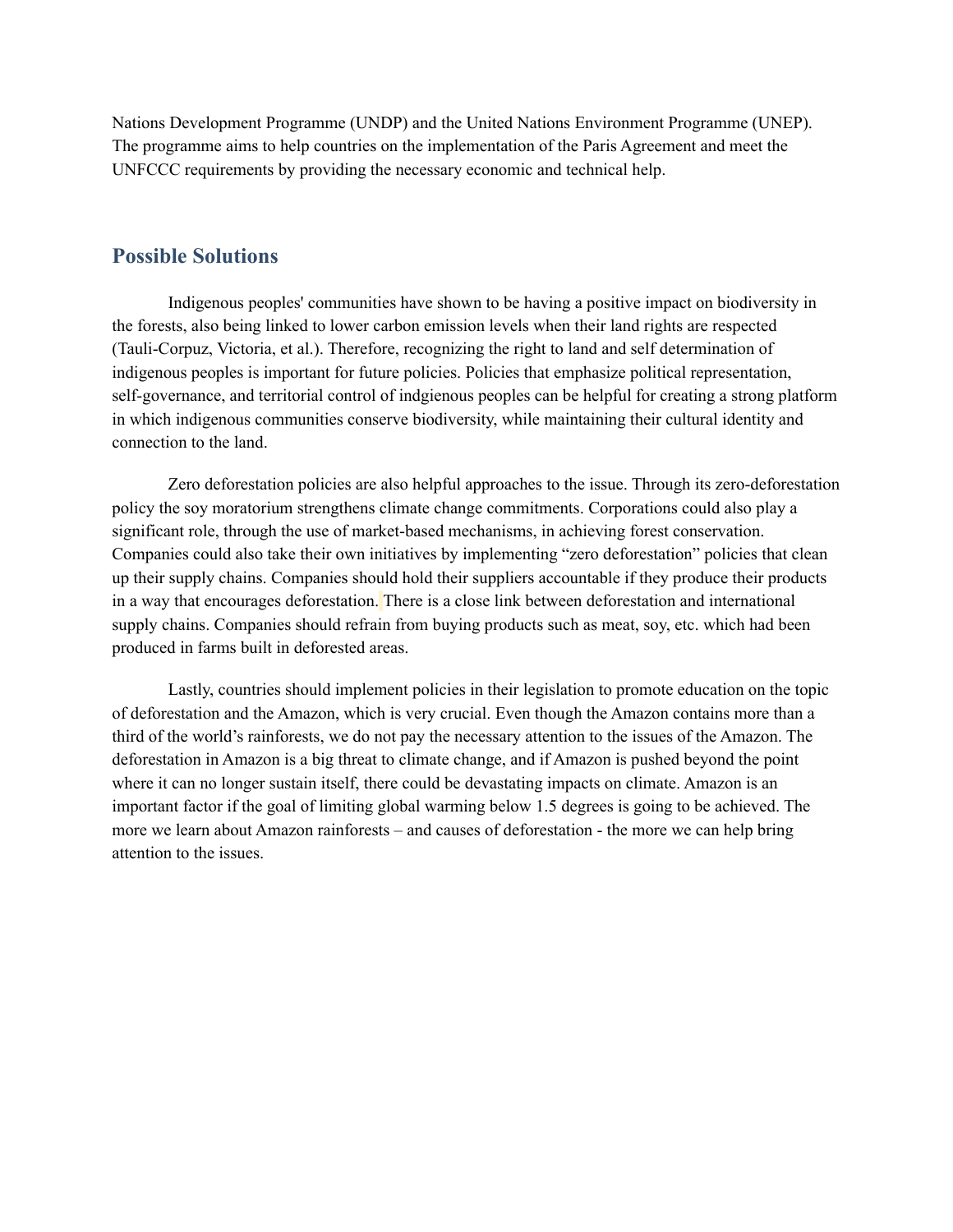Nations Development Programme (UNDP) and the United Nations Environment Programme (UNEP). The programme aims to help countries on the implementation of the Paris Agreement and meet the UNFCCC requirements by providing the necessary economic and technical help.

#### **Possible Solutions**

Indigenous peoples' communities have shown to be having a positive impact on biodiversity in the forests, also being linked to lower carbon emission levels when their land rights are respected (Tauli-Corpuz, Victoria, et al.). Therefore, recognizing the right to land and self determination of indigenous peoples is important for future policies. Policies that emphasize political representation, self-governance, and territorial control of indgienous peoples can be helpful for creating a strong platform in which indigenous communities conserve biodiversity, while maintaining their cultural identity and connection to the land.

Zero deforestation policies are also helpful approaches to the issue. Through its zero-deforestation policy the soy moratorium strengthens climate change commitments. Corporations could also play a significant role, through the use of market-based mechanisms, in achieving forest conservation. Companies could also take their own initiatives by implementing "zero deforestation" policies that clean up their supply chains. Companies should hold their suppliers accountable if they produce their products in a way that encourages deforestation. There is a close link between deforestation and international supply chains. Companies should refrain from buying products such as meat, soy, etc. which had been produced in farms built in deforested areas.

Lastly, countries should implement policies in their legislation to promote education on the topic of deforestation and the Amazon, which is very crucial. Even though the Amazon contains more than a third of the world's rainforests, we do not pay the necessary attention to the issues of the Amazon. The deforestation in Amazon is a big threat to climate change, and if Amazon is pushed beyond the point where it can no longer sustain itself, there could be devastating impacts on climate. Amazon is an important factor if the goal of limiting global warming below 1.5 degrees is going to be achieved. The more we learn about Amazon rainforests – and causes of deforestation - the more we can help bring attention to the issues.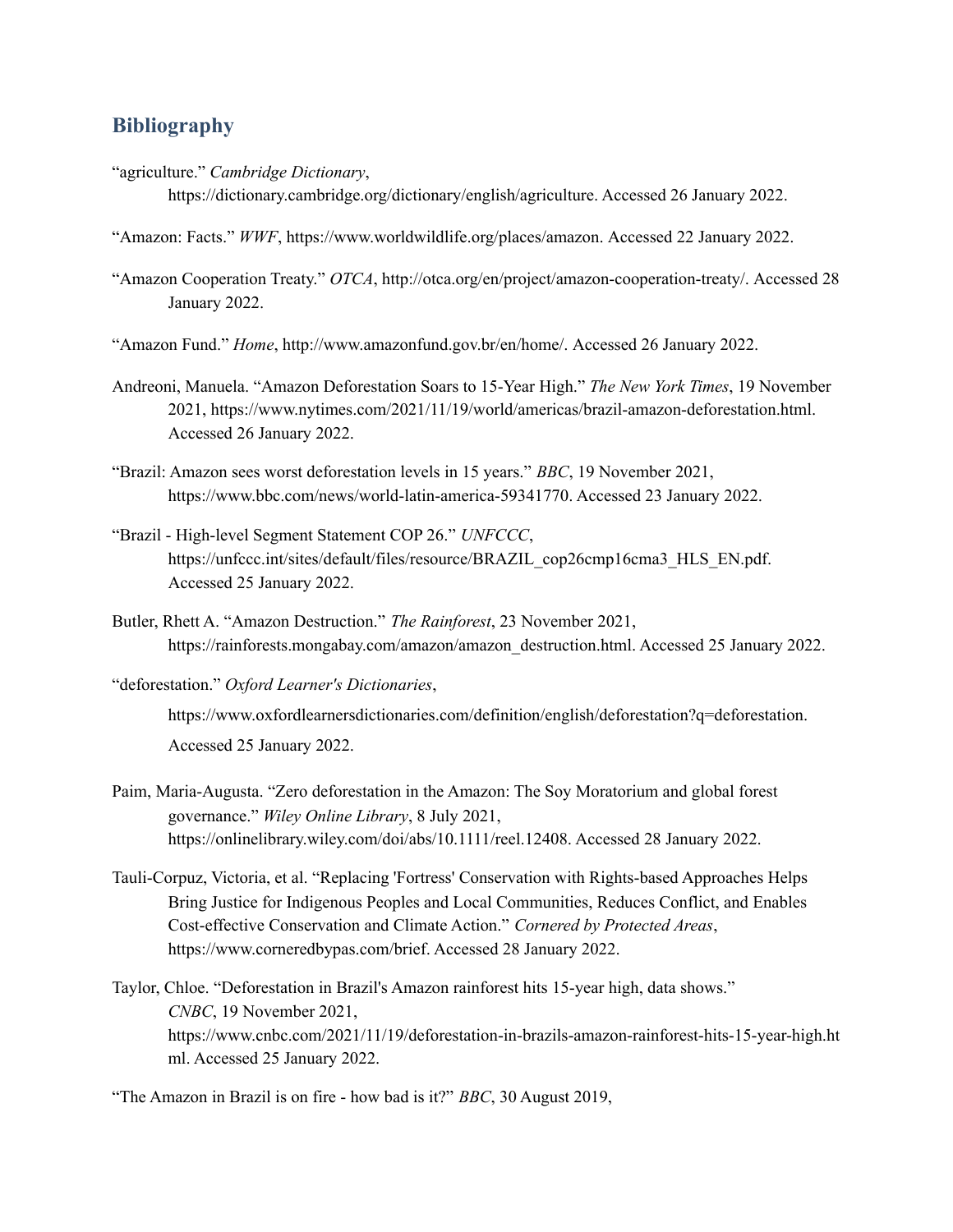## **Bibliography**

"agriculture." *Cambridge Dictionary*,

https://dictionary.cambridge.org/dictionary/english/agriculture. Accessed 26 January 2022.

- "Amazon: Facts." *WWF*, https://www.worldwildlife.org/places/amazon. Accessed 22 January 2022.
- "Amazon Cooperation Treaty." *OTCA*, http://otca.org/en/project/amazon-cooperation-treaty/. Accessed 28 January 2022.
- "Amazon Fund." *Home*, http://www.amazonfund.gov.br/en/home/. Accessed 26 January 2022.
- Andreoni, Manuela. "Amazon Deforestation Soars to 15-Year High." *The New York Times*, 19 November 2021, https://www.nytimes.com/2021/11/19/world/americas/brazil-amazon-deforestation.html. Accessed 26 January 2022.
- "Brazil: Amazon sees worst deforestation levels in 15 years." *BBC*, 19 November 2021, https://www.bbc.com/news/world-latin-america-59341770. Accessed 23 January 2022.
- "Brazil High-level Segment Statement COP 26." *UNFCCC*, https://unfccc.int/sites/default/files/resource/BRAZIL\_cop26cmp16cma3\_HLS\_EN.pdf. Accessed 25 January 2022.
- Butler, Rhett A. "Amazon Destruction." *The Rainforest*, 23 November 2021, https://rainforests.mongabay.com/amazon/amazon\_destruction.html. Accessed 25 January 2022.
- "deforestation." *Oxford Learner's Dictionaries*,

https://www.oxfordlearnersdictionaries.com/definition/english/deforestation?q=deforestation. Accessed 25 January 2022.

- Paim, Maria-Augusta. "Zero deforestation in the Amazon: The Soy Moratorium and global forest governance." *Wiley Online Library*, 8 July 2021, https://onlinelibrary.wiley.com/doi/abs/10.1111/reel.12408. Accessed 28 January 2022.
- Tauli-Corpuz, Victoria, et al. "Replacing 'Fortress' Conservation with Rights-based Approaches Helps Bring Justice for Indigenous Peoples and Local Communities, Reduces Conflict, and Enables Cost-effective Conservation and Climate Action." *Cornered by Protected Areas*, https://www.corneredbypas.com/brief. Accessed 28 January 2022.
- Taylor, Chloe. "Deforestation in Brazil's Amazon rainforest hits 15-year high, data shows." *CNBC*, 19 November 2021, https://www.cnbc.com/2021/11/19/deforestation-in-brazils-amazon-rainforest-hits-15-year-high.ht ml. Accessed 25 January 2022.

"The Amazon in Brazil is on fire - how bad is it?" *BBC*, 30 August 2019,